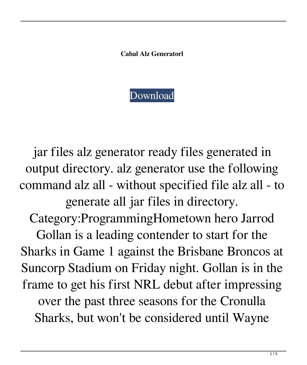**Cabal Alz Generatorl**



jar files alz generator ready files generated in output directory. alz generator use the following command alz all - without specified file alz all - to generate all jar files in directory. Category:ProgrammingHometown hero Jarrod Gollan is a leading contender to start for the Sharks in Game 1 against the Brisbane Broncos at Suncorp Stadium on Friday night. Gollan is in the frame to get his first NRL debut after impressing over the past three seasons for the Cronulla Sharks, but won't be considered until Wayne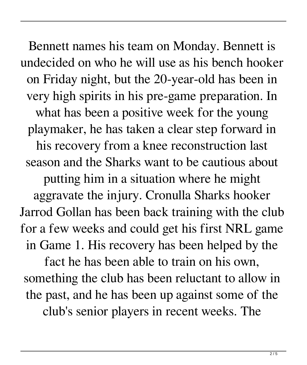Bennett names his team on Monday. Bennett is undecided on who he will use as his bench hooker on Friday night, but the 20-year-old has been in very high spirits in his pre-game preparation. In what has been a positive week for the young playmaker, he has taken a clear step forward in his recovery from a knee reconstruction last season and the Sharks want to be cautious about putting him in a situation where he might aggravate the injury. Cronulla Sharks hooker Jarrod Gollan has been back training with the club for a few weeks and could get his first NRL game in Game 1. His recovery has been helped by the fact he has been able to train on his own, something the club has been reluctant to allow in

club's senior players in recent weeks. The

the past, and he has been up against some of the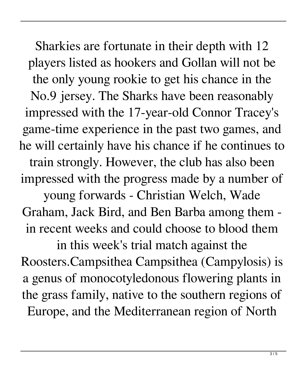Sharkies are fortunate in their depth with 12 players listed as hookers and Gollan will not be the only young rookie to get his chance in the No.9 jersey. The Sharks have been reasonably impressed with the 17-year-old Connor Tracey's game-time experience in the past two games, and he will certainly have his chance if he continues to train strongly. However, the club has also been impressed with the progress made by a number of young forwards - Christian Welch, Wade Graham, Jack Bird, and Ben Barba among them in recent weeks and could choose to blood them in this week's trial match against the

Roosters.Campsithea Campsithea (Campylosis) is a genus of monocotyledonous flowering plants in the grass family, native to the southern regions of Europe, and the Mediterranean region of North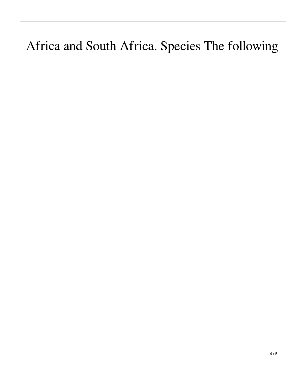## Africa and South Africa. Species The following